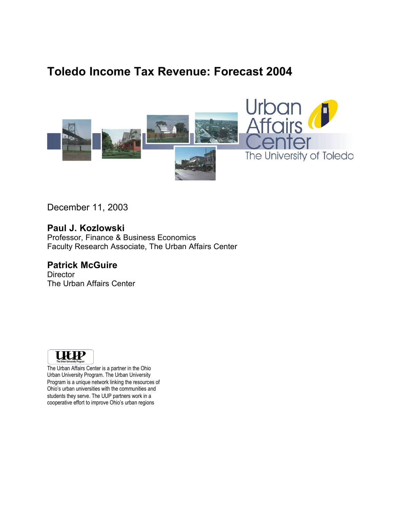## **Toledo Income Tax Revenue: Forecast 2004**



December 11, 2003

**Paul J. Kozlowski** Professor, Finance & Business Economics Faculty Research Associate, The Urban Affairs Center

**Patrick McGuire Director** 

The Urban Affairs Center



The Urban Affairs Center is a partner in the Ohio Urban University Program. The Urban University Program is a unique network linking the resources of Ohio's urban universities with the communities and students they serve. The UUP partners work in a cooperative effort to improve Ohio's urban regions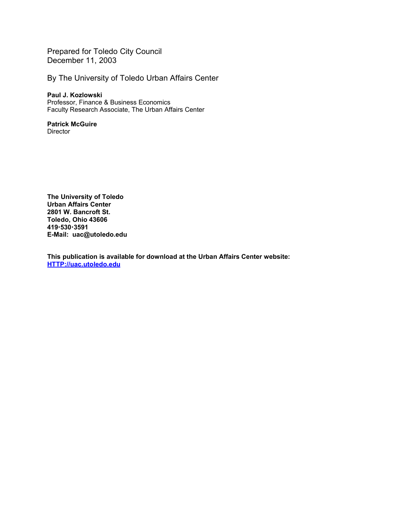Prepared for Toledo City Council December 11, 2003

By The University of Toledo Urban Affairs Center

#### **Paul J. Kozlowski**

Professor, Finance & Business Economics Faculty Research Associate, The Urban Affairs Center

### **Patrick McGuire**

**Director** 

**The University of Toledo Urban Affairs Center 2801 W. Bancroft St. Toledo, Ohio 43606 4195303591 E-Mail: uac@utoledo.edu**

**This publication is available for download at the Urban Affairs Center website: HTTP://uac.utoledo.edu**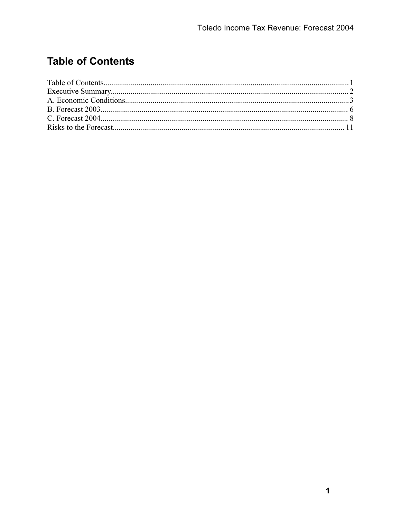# **Table of Contents**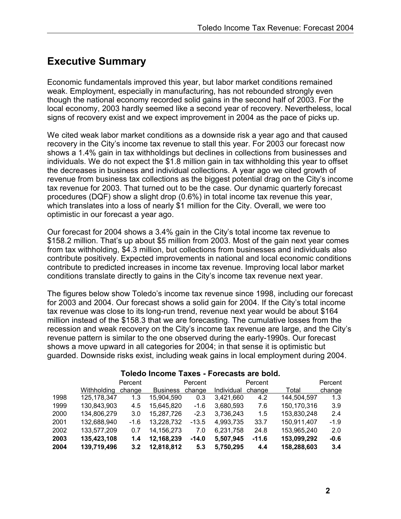## **Executive Summary**

Economic fundamentals improved this year, but labor market conditions remained weak. Employment, especially in manufacturing, has not rebounded strongly even though the national economy recorded solid gains in the second half of 2003. For the local economy, 2003 hardly seemed like a second year of recovery. Nevertheless, local signs of recovery exist and we expect improvement in 2004 as the pace of picks up.

We cited weak labor market conditions as a downside risk a year ago and that caused recovery in the City's income tax revenue to stall this year. For 2003 our forecast now shows a 1.4% gain in tax withholdings but declines in collections from businesses and individuals. We do not expect the \$1.8 million gain in tax withholding this year to offset the decreases in business and individual collections. A year ago we cited growth of revenue from business tax collections as the biggest potential drag on the City's income tax revenue for 2003. That turned out to be the case. Our dynamic quarterly forecast procedures (DQF) show a slight drop (0.6%) in total income tax revenue this year, which translates into a loss of nearly \$1 million for the City. Overall, we were too optimistic in our forecast a year ago.

Our forecast for 2004 shows a 3.4% gain in the City's total income tax revenue to \$158.2 million. That's up about \$5 million from 2003. Most of the gain next year comes from tax withholding, \$4.3 million, but collections from businesses and individuals also contribute positively. Expected improvements in national and local economic conditions contribute to predicted increases in income tax revenue. Improving local labor market conditions translate directly to gains in the City's income tax revenue next year.

The figures below show Toledo's income tax revenue since 1998, including our forecast for 2003 and 2004. Our forecast shows a solid gain for 2004. If the City's total income tax revenue was close to its long-run trend, revenue next year would be about \$164 million instead of the \$158.3 that we are forecasting. The cumulative losses from the recession and weak recovery on the City's income tax revenue are large, and the City's revenue pattern is similar to the one observed during the early-1990s. Our forecast shows a move upward in all categories for 2004; in that sense it is optimistic but guarded. Downside risks exist, including weak gains in local employment during 2004.

|      | <b>Withholding</b> | Percent<br>change | <b>Business</b> | Percent<br>change | Individual | Percent<br>change | Total       | Percent<br>change |
|------|--------------------|-------------------|-----------------|-------------------|------------|-------------------|-------------|-------------------|
| 1998 | 125, 178, 347      | 1.3               | 15,904,590      | 0.3               | 3,421,660  | 4.2               | 144,504,597 | 1.3               |
| 1999 | 130,843,903        | 4.5               | 15,645,820      | $-1.6$            | 3,680,593  | 7.6               | 150,170,316 | 3.9               |
| 2000 | 134,806,279        | 3.0               | 15,287,726      | $-2.3$            | 3,736,243  | 1.5               | 153,830,248 | 2.4               |
| 2001 | 132,688,940        | $-1.6$            | 13,228,732      | $-13.5$           | 4,993,735  | 33.7              | 150,911,407 | $-1.9$            |
| 2002 | 133,577,209        | 0.7               | 14,156,273      | 7.0               | 6,231,758  | 24.8              | 153,965,240 | 2.0               |
| 2003 | 135,423,108        | 1.4               | 12,168,239      | $-14.0$           | 5,507,945  | $-11.6$           | 153,099,292 | $-0.6$            |
| 2004 | 139,719,496        | 3.2               | 12,818,812      | 5.3               | 5,750,295  | 4.4               | 158,288,603 | 3.4               |

#### **Toledo Income Taxes - Forecasts are bold.**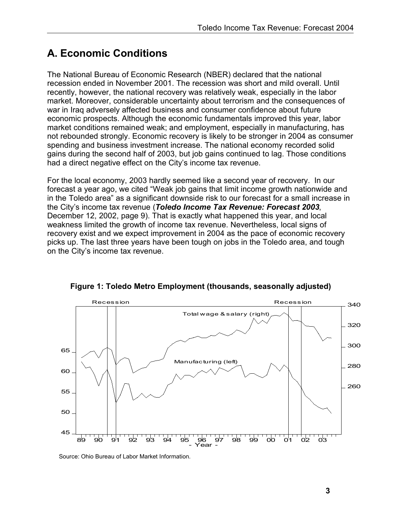## **A. Economic Conditions**

The National Bureau of Economic Research (NBER) declared that the national recession ended in November 2001. The recession was short and mild overall. Until recently, however, the national recovery was relatively weak, especially in the labor market. Moreover, considerable uncertainty about terrorism and the consequences of war in Iraq adversely affected business and consumer confidence about future economic prospects. Although the economic fundamentals improved this year, labor market conditions remained weak; and employment, especially in manufacturing, has not rebounded strongly. Economic recovery is likely to be stronger in 2004 as consumer spending and business investment increase. The national economy recorded solid gains during the second half of 2003, but job gains continued to lag. Those conditions had a direct negative effect on the City's income tax revenue.

For the local economy, 2003 hardly seemed like a second year of recovery. In our forecast a year ago, we cited "Weak job gains that limit income growth nationwide and in the Toledo area" as a significant downside risk to our forecast for a small increase in the City's income tax revenue (*Toledo Income Tax Revenue: Forecast 2003*, December 12, 2002, page 9). That is exactly what happened this year, and local weakness limited the growth of income tax revenue. Nevertheless, local signs of recovery exist and we expect improvement in 2004 as the pace of economic recovery picks up. The last three years have been tough on jobs in the Toledo area, and tough on the City's income tax revenue.



**Figure 1: Toledo Metro Employment (thousands, seasonally adjusted)**

Source: Ohio Bureau of Labor Market Information.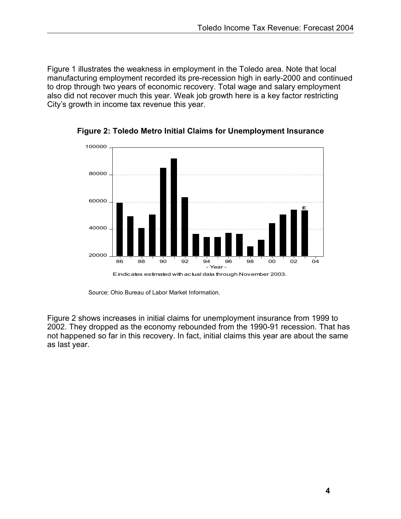Figure 1 illustrates the weakness in employment in the Toledo area. Note that local manufacturing employment recorded its pre-recession high in early-2000 and continued to drop through two years of economic recovery. Total wage and salary employment also did not recover much this year. Weak job growth here is a key factor restricting City's growth in income tax revenue this year.



**Figure 2: Toledo Metro Initial Claims for Unemployment Insurance**

Source: Ohio Bureau of Labor Market Information.

Figure 2 shows increases in initial claims for unemployment insurance from 1999 to 2002. They dropped as the economy rebounded from the 1990-91 recession. That has not happened so far in this recovery. In fact, initial claims this year are about the same as last year.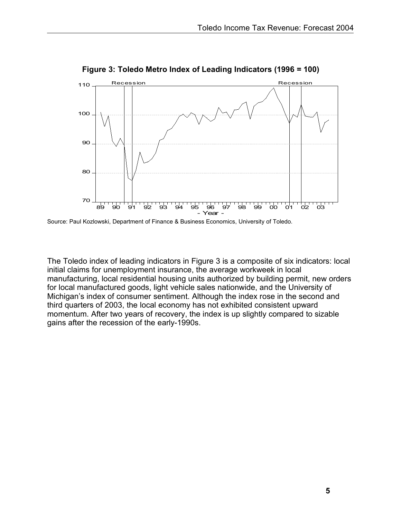

**Figure 3: Toledo Metro Index of Leading Indicators (1996 = 100)**

The Toledo index of leading indicators in Figure 3 is a composite of six indicators: local initial claims for unemployment insurance, the average workweek in local manufacturing, local residential housing units authorized by building permit, new orders for local manufactured goods, light vehicle sales nationwide, and the University of Michigan's index of consumer sentiment. Although the index rose in the second and third quarters of 2003, the local economy has not exhibited consistent upward momentum. After two years of recovery, the index is up slightly compared to sizable gains after the recession of the early-1990s.

Source: Paul Kozlowski, Department of Finance & Business Economics, University of Toledo.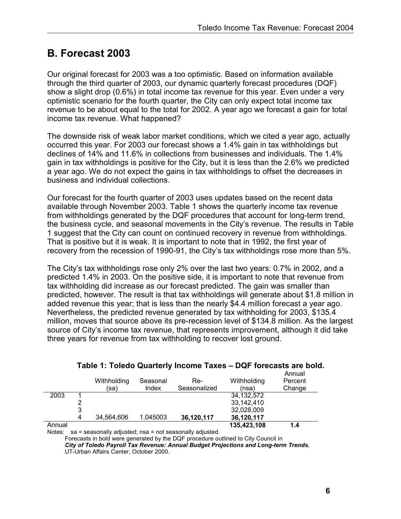### **B. Forecast 2003**

Our original forecast for 2003 was a too optimistic. Based on information available through the third quarter of 2003, our dynamic quarterly forecast procedures (DQF) show a slight drop (0.6%) in total income tax revenue for this year. Even under a very optimistic scenario for the fourth quarter, the City can only expect total income tax revenue to be about equal to the total for 2002. A year ago we forecast a gain for total income tax revenue. What happened?

The downside risk of weak labor market conditions, which we cited a year ago, actually occurred this year. For 2003 our forecast shows a 1.4% gain in tax withholdings but declines of 14% and 11.6% in collections from businesses and individuals. The 1.4% gain in tax withholdings is positive for the City, but it is less than the 2.6% we predicted a year ago. We do not expect the gains in tax withholdings to offset the decreases in business and individual collections.

Our forecast for the fourth quarter of 2003 uses updates based on the recent data available through November 2003. Table 1 shows the quarterly income tax revenue from withholdings generated by the DQF procedures that account for long-term trend, the business cycle, and seasonal movements in the City's revenue. The results in Table 1 suggest that the City can count on continued recovery in revenue from withholdings. That is positive but it is weak. It is important to note that in 1992, the first year of recovery from the recession of 1990-91, the City's tax withholdings rose more than 5%.

The City's tax withholdings rose only 2% over the last two years: 0.7% in 2002, and a predicted 1.4% in 2003. On the positive side, it is important to note that revenue from tax withholding did increase as our forecast predicted. The gain was smaller than predicted, however. The result is that tax withholdings will generate about \$1.8 million in added revenue this year; that is less than the nearly \$4.4 million forecast a year ago. Nevertheless, the predicted revenue generated by tax withholding for 2003, \$135.4 million, moves that source above its pre-recession level of \$134.8 million. As the largest source of City's income tax revenue, that represents improvement, although it did take three years for revenue from tax withholding to recover lost ground.

|        |   | Withholding<br>(sa) | Seasonal<br>Index | Re-<br>Seasonalized | Withholding<br>(nsa) | Annual<br>Percent<br>Change |
|--------|---|---------------------|-------------------|---------------------|----------------------|-----------------------------|
| 2003   |   |                     |                   |                     | 34.132.572           |                             |
|        |   |                     |                   |                     | 33,142,410           |                             |
|        | 3 |                     |                   |                     | 32.028.009           |                             |
|        | 4 | 34.564.606          | 1.045003          | 36,120,117          | 36,120,117           |                             |
| Annual |   |                     |                   |                     | 135,423,108          | 1.4                         |

### **Table 1: Toledo Quarterly Income Taxes – DQF forecasts are bold.**

Notes: sa = seasonally adjusted; nsa = not seasonally adjusted.

Forecasts in bold were generated by the DQF procedure outlined to City Council in *City of Toledo Payroll Tax Revenue: Annual Budget Projections and Long-term Trends*, UT-Urban Affairs Center, October 2000.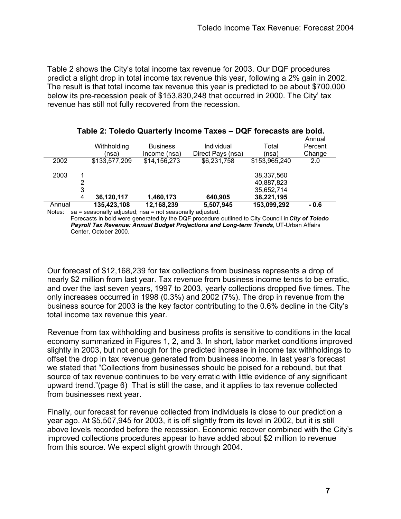Table 2 shows the City's total income tax revenue for 2003. Our DQF procedures predict a slight drop in total income tax revenue this year, following a 2% gain in 2002. The result is that total income tax revenue this year is predicted to be about \$700,000 below its pre-recession peak of \$153,830,248 that occurred in 2000. The City' tax revenue has still not fully recovered from the recession.

|        |                                                          |               |                 |                   |               | Annual  |  |  |  |
|--------|----------------------------------------------------------|---------------|-----------------|-------------------|---------------|---------|--|--|--|
|        |                                                          | Withholding   | <b>Business</b> | Individual        | Total         | Percent |  |  |  |
|        |                                                          | (nsa)         | Income (nsa)    | Direct Pays (nsa) | (nsa)         | Change  |  |  |  |
| 2002   |                                                          | \$133,577,209 | \$14,156,273    | \$6,231,758       | \$153,965,240 | 2.0     |  |  |  |
|        |                                                          |               |                 |                   |               |         |  |  |  |
| 2003   |                                                          |               |                 |                   | 38,337,560    |         |  |  |  |
|        | 2                                                        |               |                 |                   | 40.887.823    |         |  |  |  |
|        | 3                                                        |               |                 |                   | 35,652,714    |         |  |  |  |
|        | 4                                                        | 36,120,117    | 1.460.173       | 640,905           | 38,221,195    |         |  |  |  |
| Annual |                                                          | 135,423,108   | 12,168,239      | 5,507,945         | 153,099,292   | $-0.6$  |  |  |  |
| Notes: | sa = seasonally adjusted; nsa = not seasonally adjusted. |               |                 |                   |               |         |  |  |  |

#### **Table 2: Toledo Quarterly Income Taxes – DQF forecasts are bold.**

Forecasts in bold were generated by the DQF procedure outlined to City Council in*City of Toledo Payroll Tax Revenue: Annual Budget Projections and Long-term Trends*, UT-Urban Affairs Center, October 2000.

Our forecast of \$12,168,239 for tax collections from business represents a drop of nearly \$2 million from last year. Tax revenue from business income tends to be erratic, and over the last seven years, 1997 to 2003, yearly collections dropped five times. The only increases occurred in 1998 (0.3%) and 2002 (7%). The drop in revenue from the business source for 2003 is the key factor contributing to the 0.6% decline in the City's total income tax revenue this year.

Revenue from tax withholding and business profits is sensitive to conditions in the local economy summarized in Figures 1, 2, and 3. In short, labor market conditions improved slightly in 2003, but not enough for the predicted increase in income tax withholdings to offset the drop in tax revenue generated from business income. In last year's forecast we stated that "Collections from businesses should be poised for a rebound, but that source of tax revenue continues to be very erratic with little evidence of any significant upward trend."(page 6) That is still the case, and it applies to tax revenue collected from businesses next year.

Finally, our forecast for revenue collected from individuals is close to our prediction a year ago. At \$5,507,945 for 2003, it is off slightly from its level in 2002, but it is still above levels recorded before the recession. Economic recover combined with the City's improved collections procedures appear to have added about \$2 million to revenue from this source. We expect slight growth through 2004.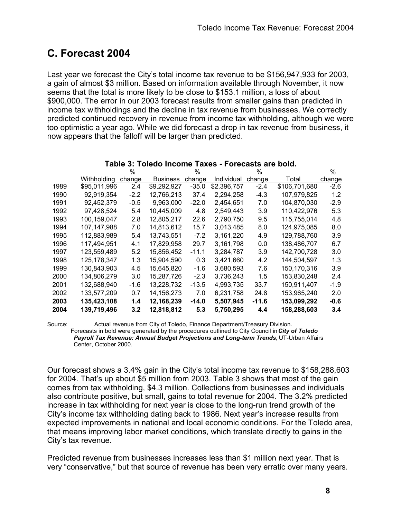## **C. Forecast 2004**

Last year we forecast the City's total income tax revenue to be \$156,947,933 for 2003, a gain of almost \$3 million. Based on information available through November, it now seems that the total is more likely to be close to \$153.1 million, a loss of about \$900,000. The error in our 2003 forecast results from smaller gains than predicted in income tax withholdings and the decline in tax revenue from businesses. We correctly predicted continued recovery in revenue from income tax withholding, although we were too optimistic a year ago. While we did forecast a drop in tax revenue from business, it now appears that the falloff will be larger than predicted.

|      |               | %      |                 | $\%$    |             | $\%$    |               | %      |
|------|---------------|--------|-----------------|---------|-------------|---------|---------------|--------|
|      | Withholding   | change | <b>Business</b> | change  | Individual  | change  | Total         | change |
| 1989 | \$95,011,996  | 2.4    | \$9,292,927     | $-35.0$ | \$2,396,757 | $-2.4$  | \$106,701,680 | $-2.6$ |
| 1990 | 92,919,354    | $-2.2$ | 12,766,213      | 37.4    | 2,294,258   | $-4.3$  | 107,979,825   | 1.2    |
| 1991 | 92,452,379    | $-0.5$ | 9,963,000       | $-22.0$ | 2.454.651   | 7.0     | 104,870,030   | $-2.9$ |
| 1992 | 97,428,524    | 5.4    | 10,445,009      | 4.8     | 2,549,443   | 3.9     | 110,422,976   | 5.3    |
| 1993 | 100,159,047   | 2.8    | 12,805,217      | 22.6    | 2,790,750   | 9.5     | 115,755,014   | 4.8    |
| 1994 | 107,147,988   | 7.0    | 14,813,612      | 15.7    | 3,013,485   | 8.0     | 124,975,085   | 8.0    |
| 1995 | 112,883,989   | 5.4    | 13,743,551      | $-7.2$  | 3,161,220   | 4.9     | 129,788,760   | 3.9    |
| 1996 | 117,494,951   | 4.1    | 17,829,958      | 29.7    | 3,161,798   | 0.0     | 138,486,707   | 6.7    |
| 1997 | 123,559,489   | 5.2    | 15,856,452      | $-11.1$ | 3,284,787   | 3.9     | 142,700,728   | 3.0    |
| 1998 | 125, 178, 347 | 1.3    | 15,904,590      | 0.3     | 3,421,660   | 4.2     | 144,504,597   | 1.3    |
| 1999 | 130,843,903   | 4.5    | 15,645,820      | $-1.6$  | 3,680,593   | 7.6     | 150,170,316   | 3.9    |
| 2000 | 134,806,279   | 3.0    | 15,287,726      | $-2.3$  | 3,736,243   | 1.5     | 153,830,248   | 2.4    |
| 2001 | 132,688,940   | -1.6   | 13,228,732      | $-13.5$ | 4,993,735   | 33.7    | 150,911,407   | -1.9   |
| 2002 | 133,577,209   | 0.7    | 14,156,273      | 7.0     | 6,231,758   | 24.8    | 153,965,240   | 2.0    |
| 2003 | 135,423,108   | 1.4    | 12,168,239      | $-14.0$ | 5,507,945   | $-11.6$ | 153,099,292   | -0.6   |
| 2004 | 139,719,496   | 3.2    | 12,818,812      | 5.3     | 5,750,295   | 4.4     | 158,288,603   | 3.4    |

#### **Table 3: Toledo Income Taxes - Forecasts are bold.**

Source: Actual revenue from City of Toledo, Finance Department/Treasury Division. Forecasts in bold were generated by the procedures outlined to City Council in*City of Toledo Payroll Tax Revenue: Annual Budget Projections and Long-term Trends*, UT-Urban Affairs Center, October 2000.

Our forecast shows a 3.4% gain in the City's total income tax revenue to \$158,288,603 for 2004. That's up about \$5 million from 2003. Table 3 shows that most of the gain comes from tax withholding, \$4.3 million. Collections from businesses and individuals also contribute positive, but small, gains to total revenue for 2004. The 3.2% predicted increase in tax withholding for next year is close to the long-run trend growth of the City's income tax withholding dating back to 1986. Next year's increase results from expected improvements in national and local economic conditions. For the Toledo area, that means improving labor market conditions, which translate directly to gains in the City's tax revenue.

Predicted revenue from businesses increases less than \$1 million next year. That is very "conservative," but that source of revenue has been very erratic over many years.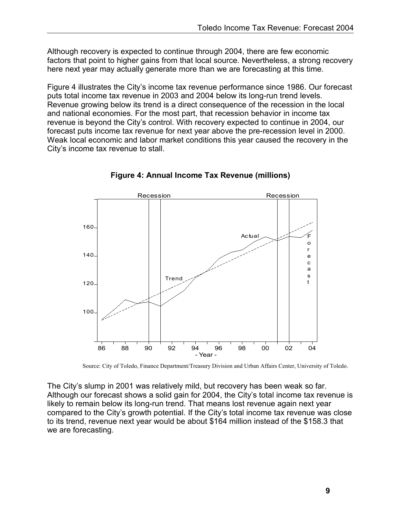Although recovery is expected to continue through 2004, there are few economic factors that point to higher gains from that local source. Nevertheless, a strong recovery here next year may actually generate more than we are forecasting at this time.

Figure 4 illustrates the City's income tax revenue performance since 1986. Our forecast puts total income tax revenue in 2003 and 2004 below its long-run trend levels. Revenue growing below its trend is a direct consequence of the recession in the local and national economies. For the most part, that recession behavior in income tax revenue is beyond the City's control. With recovery expected to continue in 2004, our forecast puts income tax revenue for next year above the pre-recession level in 2000. Weak local economic and labor market conditions this year caused the recovery in the City's income tax revenue to stall.



**Figure 4: Annual Income Tax Revenue (millions)**

Source: City of Toledo, Finance Department/Treasury Division and Urban Affairs Center, University of Toledo.

The City's slump in 2001 was relatively mild, but recovery has been weak so far. Although our forecast shows a solid gain for 2004, the City's total income tax revenue is likely to remain below its long-run trend. That means lost revenue again next year compared to the City's growth potential. If the City's total income tax revenue was close to its trend, revenue next year would be about \$164 million instead of the \$158.3 that we are forecasting.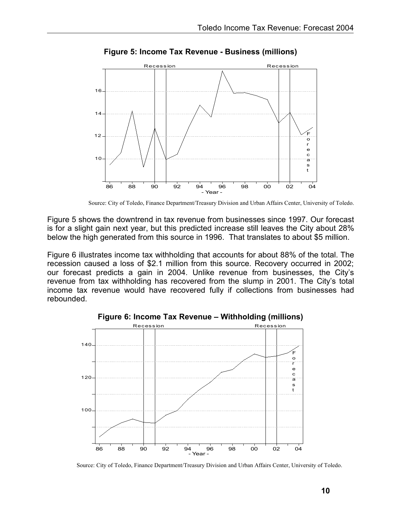

**Figure 5: Income Tax Revenue - Business (millions)**

Source: City of Toledo, Finance Department/Treasury Division and Urban Affairs Center, University of Toledo.

Figure 5 shows the downtrend in tax revenue from businesses since 1997. Our forecast is for a slight gain next year, but this predicted increase still leaves the City about 28% below the high generated from this source in 1996. That translates to about \$5 million.

Figure 6 illustrates income tax withholding that accounts for about 88% of the total. The recession caused a loss of \$2.1 million from this source. Recovery occurred in 2002; our forecast predicts a gain in 2004. Unlike revenue from businesses, the City's revenue from tax withholding has recovered from the slump in 2001. The City's total income tax revenue would have recovered fully if collections from businesses had rebounded.



Source: City of Toledo, Finance Department/Treasury Division and Urban Affairs Center, University of Toledo.